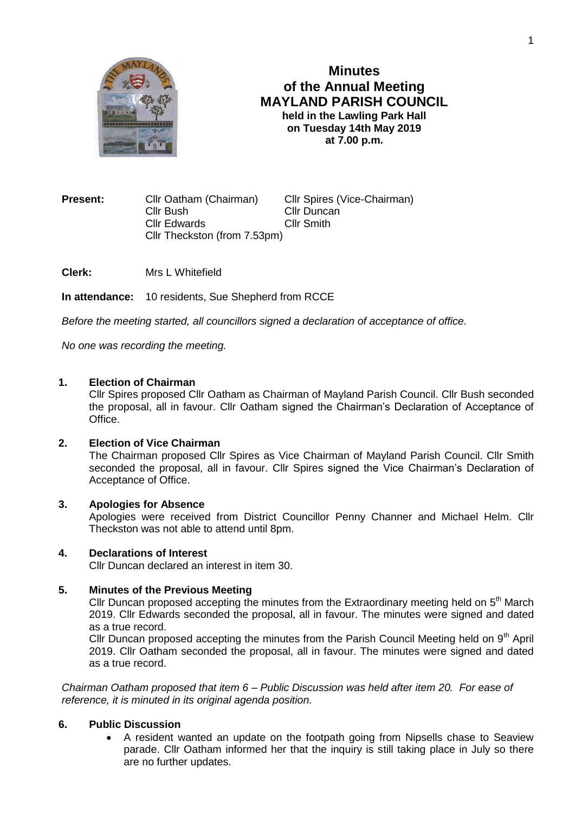

# **Minutes of the Annual Meeting MAYLAND PARISH COUNCIL held in the Lawling Park Hall on Tuesday 14th May 2019 at 7.00 p.m.**

**Present:** Cllr Oatham (Chairman) Cllr Spires (Vice-Chairman) Cllr Bush Cllr Duncan Cllr Edwards Cllr Smith Cllr Theckston (from 7.53pm)

**Clerk:** Mrs L Whitefield

**In attendance:** 10 residents, Sue Shepherd from RCCE

*Before the meeting started, all councillors signed a declaration of acceptance of office.*

*No one was recording the meeting.*

#### **1. Election of Chairman**

Cllr Spires proposed Cllr Oatham as Chairman of Mayland Parish Council. Cllr Bush seconded the proposal, all in favour. Cllr Oatham signed the Chairman's Declaration of Acceptance of Office.

## **2. Election of Vice Chairman**

The Chairman proposed Cllr Spires as Vice Chairman of Mayland Parish Council. Cllr Smith seconded the proposal, all in favour. Cllr Spires signed the Vice Chairman's Declaration of Acceptance of Office.

#### **3. Apologies for Absence**

Apologies were received from District Councillor Penny Channer and Michael Helm. Cllr Theckston was not able to attend until 8pm.

#### **4. Declarations of Interest**

Cllr Duncan declared an interest in item 30.

## **5. Minutes of the Previous Meeting**

Cllr Duncan proposed accepting the minutes from the Extraordinary meeting held on 5<sup>th</sup> March 2019. Cllr Edwards seconded the proposal, all in favour. The minutes were signed and dated as a true record.

Cllr Duncan proposed accepting the minutes from the Parish Council Meeting held on  $9<sup>th</sup>$  April 2019. Cllr Oatham seconded the proposal, all in favour. The minutes were signed and dated as a true record.

*Chairman Oatham proposed that item 6 – Public Discussion was held after item 20. For ease of reference, it is minuted in its original agenda position.*

## **6. Public Discussion**

 A resident wanted an update on the footpath going from Nipsells chase to Seaview parade. Cllr Oatham informed her that the inquiry is still taking place in July so there are no further updates.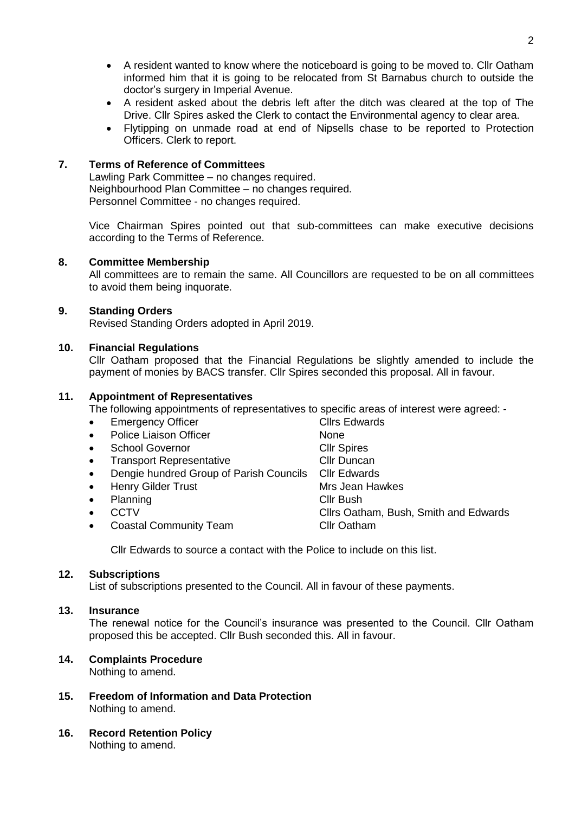- A resident wanted to know where the noticeboard is going to be moved to. Cllr Oatham informed him that it is going to be relocated from St Barnabus church to outside the doctor's surgery in Imperial Avenue.
- A resident asked about the debris left after the ditch was cleared at the top of The Drive. Cllr Spires asked the Clerk to contact the Environmental agency to clear area.
- Flytipping on unmade road at end of Nipsells chase to be reported to Protection Officers. Clerk to report.

## **7. Terms of Reference of Committees**

Lawling Park Committee – no changes required. Neighbourhood Plan Committee – no changes required. Personnel Committee - no changes required.

Vice Chairman Spires pointed out that sub-committees can make executive decisions according to the Terms of Reference.

## **8. Committee Membership**

All committees are to remain the same. All Councillors are requested to be on all committees to avoid them being inquorate.

## **9. Standing Orders**

Revised Standing Orders adopted in April 2019.

## **10. Financial Regulations**

Cllr Oatham proposed that the Financial Regulations be slightly amended to include the payment of monies by BACS transfer. Cllr Spires seconded this proposal. All in favour.

## **11. Appointment of Representatives**

The following appointments of representatives to specific areas of interest were agreed: -

- Emergency Officer **Clines** Clirs Edwards
- Police Liaison Officer None
- School Governor Cllr Spires
- Transport Representative Clir Duncan
- Dengie hundred Group of Parish Councils Cllr Edwards
- Henry Gilder Trust Mrs Jean Hawkes
- Planning Clir Bush
- 
- Coastal Community Team Cllr Oatham
- 
- 
- 
- 
- 
- 
- CCTV CLLRS Oatham, Bush, Smith and Edwards
	-

Cllr Edwards to source a contact with the Police to include on this list.

#### **12. Subscriptions**

List of subscriptions presented to the Council. All in favour of these payments.

#### **13. Insurance**

The renewal notice for the Council's insurance was presented to the Council. Cllr Oatham proposed this be accepted. Cllr Bush seconded this. All in favour.

## **14. Complaints Procedure**

Nothing to amend.

- **15. Freedom of Information and Data Protection** Nothing to amend.
- **16. Record Retention Policy** Nothing to amend.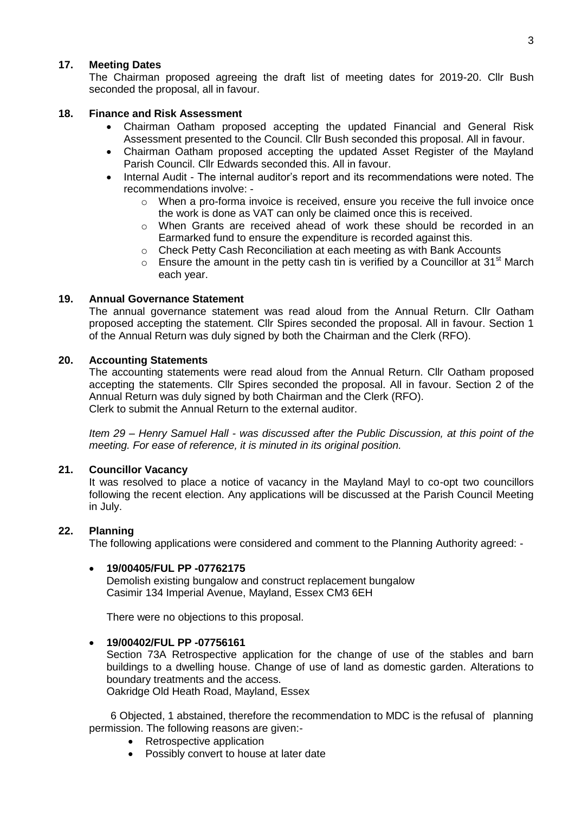## **17. Meeting Dates**

The Chairman proposed agreeing the draft list of meeting dates for 2019-20. Cllr Bush seconded the proposal, all in favour.

## **18. Finance and Risk Assessment**

- Chairman Oatham proposed accepting the updated Financial and General Risk Assessment presented to the Council. Cllr Bush seconded this proposal. All in favour.
- Chairman Oatham proposed accepting the updated Asset Register of the Mayland Parish Council. Cllr Edwards seconded this. All in favour.
- Internal Audit The internal auditor's report and its recommendations were noted. The recommendations involve:
	- o When a pro-forma invoice is received, ensure you receive the full invoice once the work is done as VAT can only be claimed once this is received.
	- $\circ$  When Grants are received ahead of work these should be recorded in an Earmarked fund to ensure the expenditure is recorded against this.
	- o Check Petty Cash Reconciliation at each meeting as with Bank Accounts
	- $\circ$  Ensure the amount in the petty cash tin is verified by a Councillor at 31<sup>st</sup> March each year.

## **19. Annual Governance Statement**

The annual governance statement was read aloud from the Annual Return. Cllr Oatham proposed accepting the statement. Cllr Spires seconded the proposal. All in favour. Section 1 of the Annual Return was duly signed by both the Chairman and the Clerk (RFO).

#### **20. Accounting Statements**

The accounting statements were read aloud from the Annual Return. Cllr Oatham proposed accepting the statements. Cllr Spires seconded the proposal. All in favour. Section 2 of the Annual Return was duly signed by both Chairman and the Clerk (RFO). Clerk to submit the Annual Return to the external auditor.

*Item 29 – Henry Samuel Hall - was discussed after the Public Discussion, at this point of the meeting. For ease of reference, it is minuted in its original position.*

#### **21. Councillor Vacancy**

It was resolved to place a notice of vacancy in the Mayland Mayl to co-opt two councillors following the recent election. Any applications will be discussed at the Parish Council Meeting in July.

## **22. Planning**

The following applications were considered and comment to the Planning Authority agreed: -

#### **19/00405/FUL PP -07762175**

Demolish existing bungalow and construct replacement bungalow Casimir 134 Imperial Avenue, Mayland, Essex CM3 6EH

There were no objections to this proposal.

#### **19/00402/FUL PP -07756161**

Section 73A Retrospective application for the change of use of the stables and barn buildings to a dwelling house. Change of use of land as domestic garden. Alterations to boundary treatments and the access.

Oakridge Old Heath Road, Mayland, Essex

6 Objected, 1 abstained, therefore the recommendation to MDC is the refusal of planning permission. The following reasons are given:-

- Retrospective application
- Possibly convert to house at later date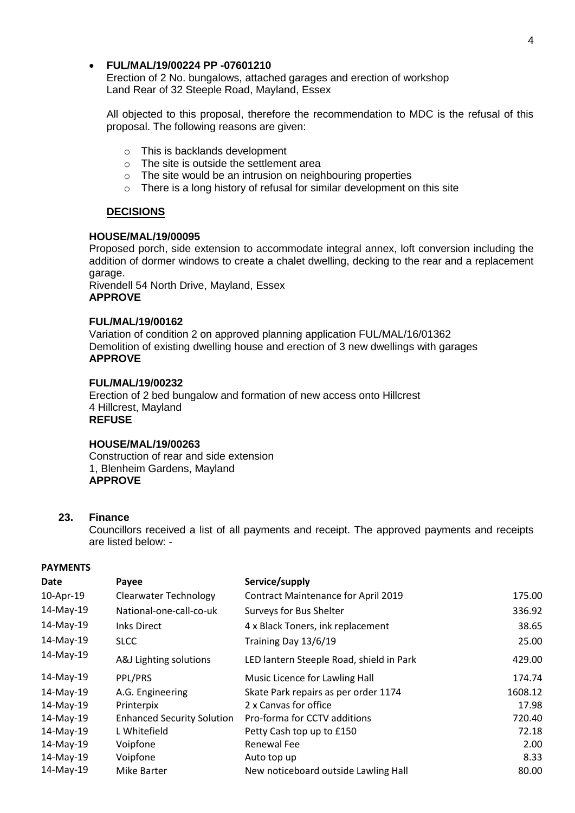## **FUL/MAL/19/00224 PP -07601210**

Erection of 2 No. bungalows, attached garages and erection of workshop Land Rear of 32 Steeple Road, Mayland, Essex

All objected to this proposal, therefore the recommendation to MDC is the refusal of this proposal. The following reasons are given:

- o This is backlands development
- o The site is outside the settlement area
- $\circ$  The site would be an intrusion on neighbouring properties
- o There is a long history of refusal for similar development on this site

## **DECISIONS**

#### **HOUSE/MAL/19/00095**

Proposed porch, side extension to accommodate integral annex, loft conversion including the addition of dormer windows to create a chalet dwelling, decking to the rear and a replacement garage.

Rivendell 54 North Drive, Mayland, Essex **APPROVE**

## **FUL/MAL/19/00162**

Variation of condition 2 on approved planning application FUL/MAL/16/01362 Demolition of existing dwelling house and erection of 3 new dwellings with garages **APPROVE**

## **FUL/MAL/19/00232**

Erection of 2 bed bungalow and formation of new access onto Hillcrest 4 Hillcrest, Mayland **REFUSE**

#### **HOUSE/MAL/19/00263**

Construction of rear and side extension 1, Blenheim Gardens, Mayland **APPROVE**

#### **23. Finance**

Councillors received a list of all payments and receipt. The approved payments and receipts are listed below: -

## **PAYMENTS**

| Date         | Payee                             | Service/supply                             |         |
|--------------|-----------------------------------|--------------------------------------------|---------|
| 10-Apr-19    | <b>Clearwater Technology</b>      | <b>Contract Maintenance for April 2019</b> | 175.00  |
| 14-May-19    | National-one-call-co-uk           | Surveys for Bus Shelter                    | 336.92  |
| 14-May-19    | <b>Inks Direct</b>                | 4 x Black Toners, ink replacement          | 38.65   |
| 14-May-19    | <b>SLCC</b>                       | Training Day 13/6/19                       | 25.00   |
| 14-May-19    | A&J Lighting solutions            | LED lantern Steeple Road, shield in Park   | 429.00  |
| 14-May-19    | PPL/PRS                           | Music Licence for Lawling Hall             | 174.74  |
| 14-May-19    | A.G. Engineering                  | Skate Park repairs as per order 1174       | 1608.12 |
| 14-May-19    | Printerpix                        | 2 x Canvas for office                      | 17.98   |
| 14-May-19    | <b>Enhanced Security Solution</b> | Pro-forma for CCTV additions               | 720.40  |
| $14$ -May-19 | L Whitefield                      | Petty Cash top up to £150                  | 72.18   |
| 14-May-19    | Voipfone                          | Renewal Fee                                | 2.00    |
| 14-May-19    | Voipfone                          | Auto top up                                | 8.33    |
| 14-May-19    | <b>Mike Barter</b>                | New noticeboard outside Lawling Hall       | 80.00   |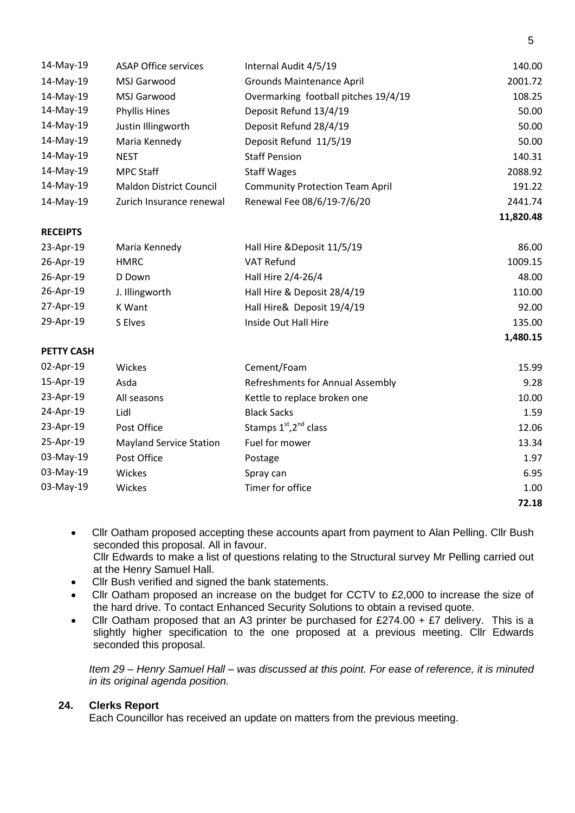| 14-May-19         | <b>ASAP Office services</b>    | Internal Audit 4/5/19                          | 140.00    |
|-------------------|--------------------------------|------------------------------------------------|-----------|
| 14-May-19         | MSJ Garwood                    | <b>Grounds Maintenance April</b>               | 2001.72   |
| 14-May-19         | MSJ Garwood                    | Overmarking football pitches 19/4/19           | 108.25    |
| 14-May-19         | <b>Phyllis Hines</b>           | Deposit Refund 13/4/19                         | 50.00     |
| 14-May-19         | Justin Illingworth             | Deposit Refund 28/4/19                         | 50.00     |
| 14-May-19         | Maria Kennedy                  | Deposit Refund 11/5/19                         | 50.00     |
| 14-May-19         | <b>NEST</b>                    | <b>Staff Pension</b>                           | 140.31    |
| 14-May-19         | <b>MPC Staff</b>               | <b>Staff Wages</b>                             | 2088.92   |
| 14-May-19         | <b>Maldon District Council</b> | <b>Community Protection Team April</b>         | 191.22    |
| 14-May-19         | Zurich Insurance renewal       | Renewal Fee 08/6/19-7/6/20                     | 2441.74   |
|                   |                                |                                                | 11,820.48 |
| <b>RECEIPTS</b>   |                                |                                                |           |
| 23-Apr-19         | Maria Kennedy                  | Hall Hire & Deposit 11/5/19                    | 86.00     |
| 26-Apr-19         | <b>HMRC</b>                    | <b>VAT Refund</b>                              | 1009.15   |
| 26-Apr-19         | D Down                         | Hall Hire 2/4-26/4                             | 48.00     |
| 26-Apr-19         | J. Illingworth                 | Hall Hire & Deposit 28/4/19                    | 110.00    |
| 27-Apr-19         | K Want                         | Hall Hire& Deposit 19/4/19                     | 92.00     |
| 29-Apr-19         | S Elves                        | Inside Out Hall Hire                           | 135.00    |
|                   |                                |                                                | 1,480.15  |
| <b>PETTY CASH</b> |                                |                                                |           |
| 02-Apr-19         | Wickes                         | Cement/Foam                                    | 15.99     |
| 15-Apr-19         | Asda                           | Refreshments for Annual Assembly               | 9.28      |
| 23-Apr-19         | All seasons                    | Kettle to replace broken one                   | 10.00     |
| 24-Apr-19         | Lidl                           | <b>Black Sacks</b>                             | 1.59      |
| 23-Apr-19         | Post Office                    | Stamps 1 <sup>st</sup> , 2 <sup>nd</sup> class | 12.06     |
| 25-Apr-19         | <b>Mayland Service Station</b> | Fuel for mower                                 | 13.34     |
| 03-May-19         | Post Office                    | Postage                                        | 1.97      |
| 03-May-19         | Wickes                         | Spray can                                      | 6.95      |
| 03-May-19         | Wickes                         | Timer for office                               | 1.00      |
|                   |                                |                                                | 72.18     |

- Cllr Oatham proposed accepting these accounts apart from payment to Alan Pelling. Cllr Bush seconded this proposal. All in favour. Cllr Edwards to make a list of questions relating to the Structural survey Mr Pelling carried out at the Henry Samuel Hall.
- Cllr Bush verified and signed the bank statements.
- Cllr Oatham proposed an increase on the budget for CCTV to £2,000 to increase the size of the hard drive. To contact Enhanced Security Solutions to obtain a revised quote.
- Cllr Oatham proposed that an A3 printer be purchased for £274.00 +  $£7$  delivery. This is a slightly higher specification to the one proposed at a previous meeting. Cllr Edwards seconded this proposal.

*Item 29 – Henry Samuel Hall – was discussed at this point. For ease of reference, it is minuted in its original agenda position.*

## **24. Clerks Report**

Each Councillor has received an update on matters from the previous meeting.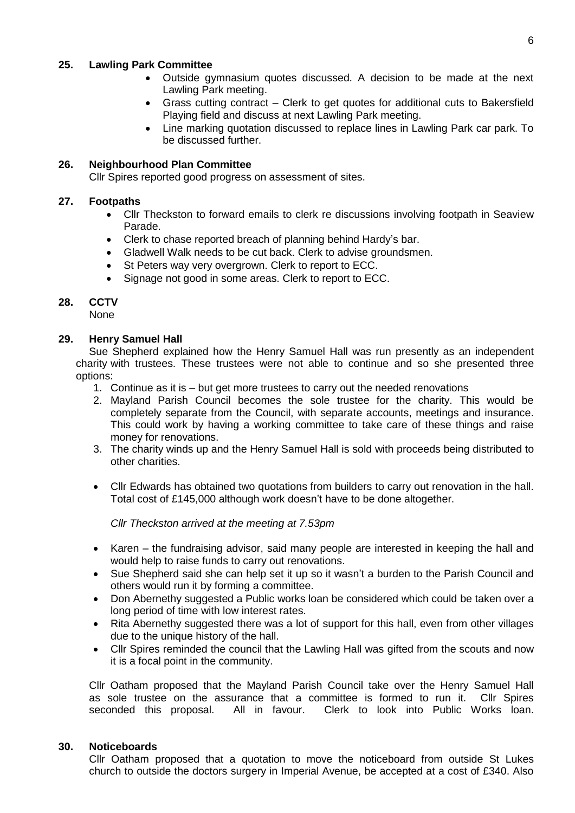## **25. Lawling Park Committee**

- Outside gymnasium quotes discussed. A decision to be made at the next Lawling Park meeting.
- Grass cutting contract Clerk to get quotes for additional cuts to Bakersfield Playing field and discuss at next Lawling Park meeting.
- Line marking quotation discussed to replace lines in Lawling Park car park. To be discussed further.

# **26. Neighbourhood Plan Committee**

Cllr Spires reported good progress on assessment of sites.

### **27. Footpaths**

- Cllr Theckston to forward emails to clerk re discussions involving footpath in Seaview Parade.
- Clerk to chase reported breach of planning behind Hardy's bar.
- Gladwell Walk needs to be cut back. Clerk to advise groundsmen.
- St Peters way very overgrown. Clerk to report to ECC.
- Signage not good in some areas. Clerk to report to ECC.

#### **28. CCTV**

None

## **29. Henry Samuel Hall**

Sue Shepherd explained how the Henry Samuel Hall was run presently as an independent charity with trustees. These trustees were not able to continue and so she presented three options:

- 1. Continue as it is but get more trustees to carry out the needed renovations
- 2. Mayland Parish Council becomes the sole trustee for the charity. This would be completely separate from the Council, with separate accounts, meetings and insurance. This could work by having a working committee to take care of these things and raise money for renovations.
- 3. The charity winds up and the Henry Samuel Hall is sold with proceeds being distributed to other charities.
- Cllr Edwards has obtained two quotations from builders to carry out renovation in the hall. Total cost of £145,000 although work doesn't have to be done altogether.

*Cllr Theckston arrived at the meeting at 7.53pm*

- Karen the fundraising advisor, said many people are interested in keeping the hall and would help to raise funds to carry out renovations.
- Sue Shepherd said she can help set it up so it wasn't a burden to the Parish Council and others would run it by forming a committee.
- Don Abernethy suggested a Public works loan be considered which could be taken over a long period of time with low interest rates.
- Rita Abernethy suggested there was a lot of support for this hall, even from other villages due to the unique history of the hall.
- Cllr Spires reminded the council that the Lawling Hall was gifted from the scouts and now it is a focal point in the community.

Cllr Oatham proposed that the Mayland Parish Council take over the Henry Samuel Hall as sole trustee on the assurance that a committee is formed to run it. Cllr Spires seconded this proposal. All in favour. Clerk to look into Public Works loan.

#### **30. Noticeboards**

Cllr Oatham proposed that a quotation to move the noticeboard from outside St Lukes church to outside the doctors surgery in Imperial Avenue, be accepted at a cost of £340. Also